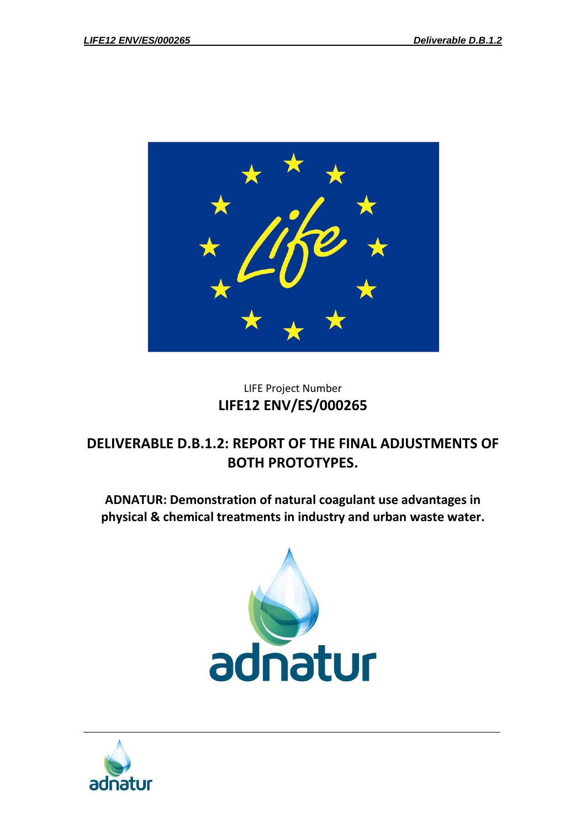

# LIFE Project Number **LIFE12 ENV/ES/000265**

# **DELIVERABLE D.B.1.2: REPORT OF THE FINAL ADJUSTMENTS OF BOTH PROTOTYPES.**

**ADNATUR: Demonstration of natural coagulant use advantages in physical & chemical treatments in industry and urban waste water.**



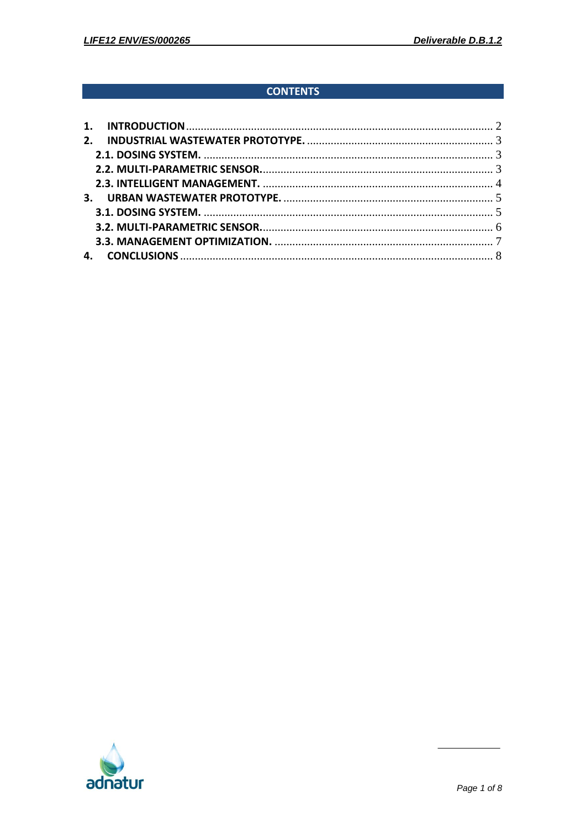## **CONTENTS**

| 1. |  |
|----|--|
| 2. |  |
|    |  |
|    |  |
|    |  |
| 3. |  |
|    |  |
|    |  |
|    |  |
|    |  |

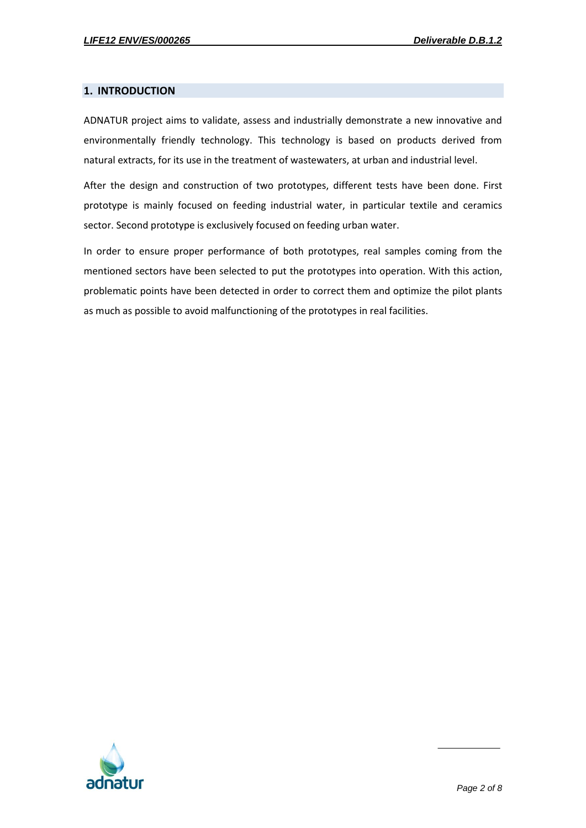#### <span id="page-2-0"></span>**1. INTRODUCTION**

ADNATUR project aims to validate, assess and industrially demonstrate a new innovative and environmentally friendly technology. This technology is based on products derived from natural extracts, for its use in the treatment of wastewaters, at urban and industrial level.

After the design and construction of two prototypes, different tests have been done. First prototype is mainly focused on feeding industrial water, in particular textile and ceramics sector. Second prototype is exclusively focused on feeding urban water.

In order to ensure proper performance of both prototypes, real samples coming from the mentioned sectors have been selected to put the prototypes into operation. With this action, problematic points have been detected in order to correct them and optimize the pilot plants as much as possible to avoid malfunctioning of the prototypes in real facilities.

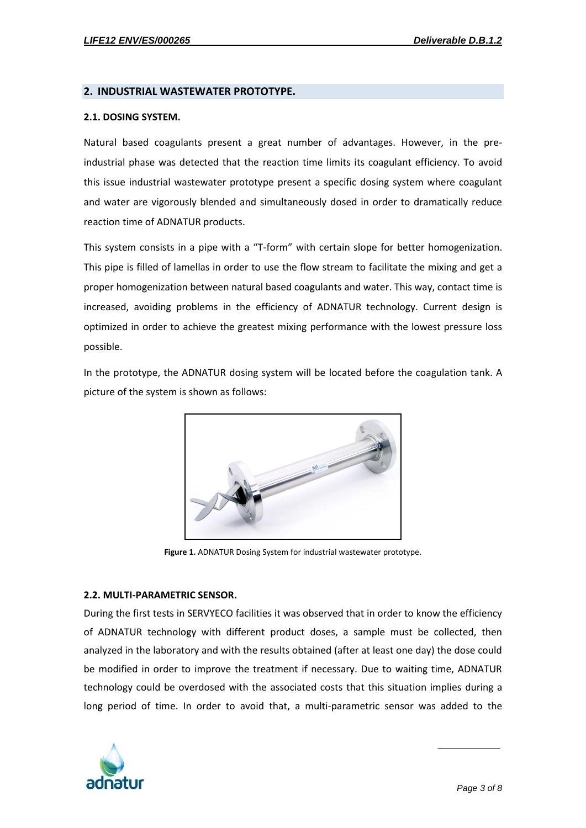## <span id="page-3-0"></span>**2. INDUSTRIAL WASTEWATER PROTOTYPE.**

#### <span id="page-3-1"></span>**2.1. DOSING SYSTEM.**

Natural based coagulants present a great number of advantages. However, in the preindustrial phase was detected that the reaction time limits its coagulant efficiency. To avoid this issue industrial wastewater prototype present a specific dosing system where coagulant and water are vigorously blended and simultaneously dosed in order to dramatically reduce reaction time of ADNATUR products.

This system consists in a pipe with a "T-form" with certain slope for better homogenization. This pipe is filled of lamellas in order to use the flow stream to facilitate the mixing and get a proper homogenization between natural based coagulants and water. This way, contact time is increased, avoiding problems in the efficiency of ADNATUR technology. Current design is optimized in order to achieve the greatest mixing performance with the lowest pressure loss possible.

In the prototype, the ADNATUR dosing system will be located before the coagulation tank. A picture of the system is shown as follows:



**Figure 1.** ADNATUR Dosing System for industrial wastewater prototype.

## <span id="page-3-2"></span>**2.2. MULTI-PARAMETRIC SENSOR.**

During the first tests in SERVYECO facilities it was observed that in order to know the efficiency of ADNATUR technology with different product doses, a sample must be collected, then analyzed in the laboratory and with the results obtained (after at least one day) the dose could be modified in order to improve the treatment if necessary. Due to waiting time, ADNATUR technology could be overdosed with the associated costs that this situation implies during a long period of time. In order to avoid that, a multi-parametric sensor was added to the

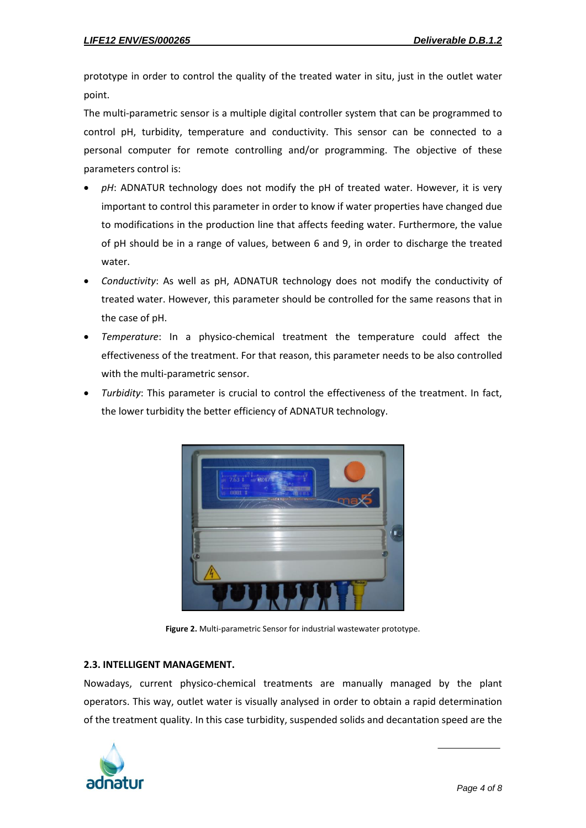prototype in order to control the quality of the treated water in situ, just in the outlet water point.

The multi-parametric sensor is a multiple digital controller system that can be programmed to control pH, turbidity, temperature and conductivity. This sensor can be connected to a personal computer for remote controlling and/or programming. The objective of these parameters control is:

- pH: ADNATUR technology does not modify the pH of treated water. However, it is very important to control this parameter in order to know if water properties have changed due to modifications in the production line that affects feeding water. Furthermore, the value of pH should be in a range of values, between 6 and 9, in order to discharge the treated water.
- *Conductivity*: As well as pH, ADNATUR technology does not modify the conductivity of treated water. However, this parameter should be controlled for the same reasons that in the case of pH.
- *Temperature*: In a physico-chemical treatment the temperature could affect the effectiveness of the treatment. For that reason, this parameter needs to be also controlled with the multi-parametric sensor.
- *Turbidity*: This parameter is crucial to control the effectiveness of the treatment. In fact, the lower turbidity the better efficiency of ADNATUR technology.



**Figure 2.** Multi-parametric Sensor for industrial wastewater prototype.

## <span id="page-4-0"></span>**2.3. INTELLIGENT MANAGEMENT.**

Nowadays, current physico-chemical treatments are manually managed by the plant operators. This way, outlet water is visually analysed in order to obtain a rapid determination of the treatment quality. In this case turbidity, suspended solids and decantation speed are the

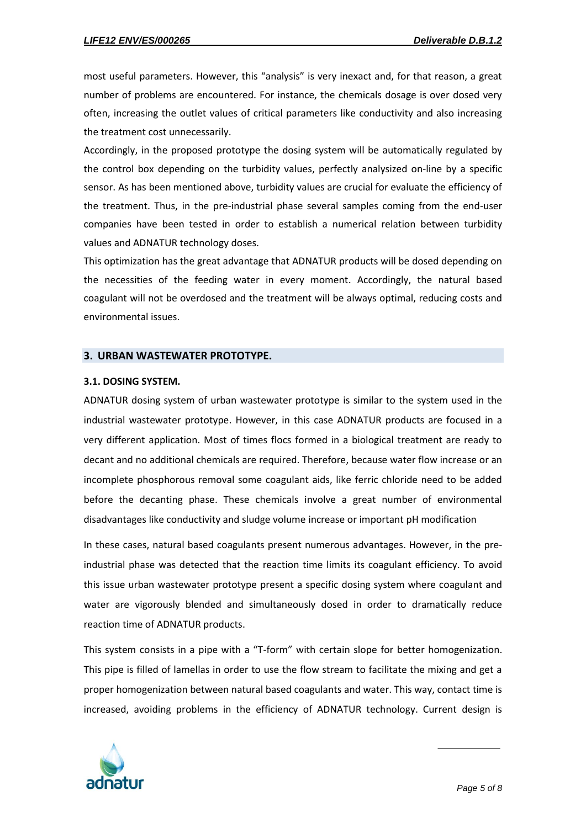most useful parameters. However, this "analysis" is very inexact and, for that reason, a great number of problems are encountered. For instance, the chemicals dosage is over dosed very often, increasing the outlet values of critical parameters like conductivity and also increasing the treatment cost unnecessarily.

Accordingly, in the proposed prototype the dosing system will be automatically regulated by the control box depending on the turbidity values, perfectly analysized on-line by a specific sensor. As has been mentioned above, turbidity values are crucial for evaluate the efficiency of the treatment. Thus, in the pre-industrial phase several samples coming from the end-user companies have been tested in order to establish a numerical relation between turbidity values and ADNATUR technology doses.

This optimization has the great advantage that ADNATUR products will be dosed depending on the necessities of the feeding water in every moment. Accordingly, the natural based coagulant will not be overdosed and the treatment will be always optimal, reducing costs and environmental issues.

## <span id="page-5-0"></span>**3. URBAN WASTEWATER PROTOTYPE.**

## <span id="page-5-1"></span>**3.1. DOSING SYSTEM.**

ADNATUR dosing system of urban wastewater prototype is similar to the system used in the industrial wastewater prototype. However, in this case ADNATUR products are focused in a very different application. Most of times flocs formed in a biological treatment are ready to decant and no additional chemicals are required. Therefore, because water flow increase or an incomplete phosphorous removal some coagulant aids, like ferric chloride need to be added before the decanting phase. These chemicals involve a great number of environmental disadvantages like conductivity and sludge volume increase or important pH modification

In these cases, natural based coagulants present numerous advantages. However, in the preindustrial phase was detected that the reaction time limits its coagulant efficiency. To avoid this issue urban wastewater prototype present a specific dosing system where coagulant and water are vigorously blended and simultaneously dosed in order to dramatically reduce reaction time of ADNATUR products.

This system consists in a pipe with a "T-form" with certain slope for better homogenization. This pipe is filled of lamellas in order to use the flow stream to facilitate the mixing and get a proper homogenization between natural based coagulants and water. This way, contact time is increased, avoiding problems in the efficiency of ADNATUR technology. Current design is

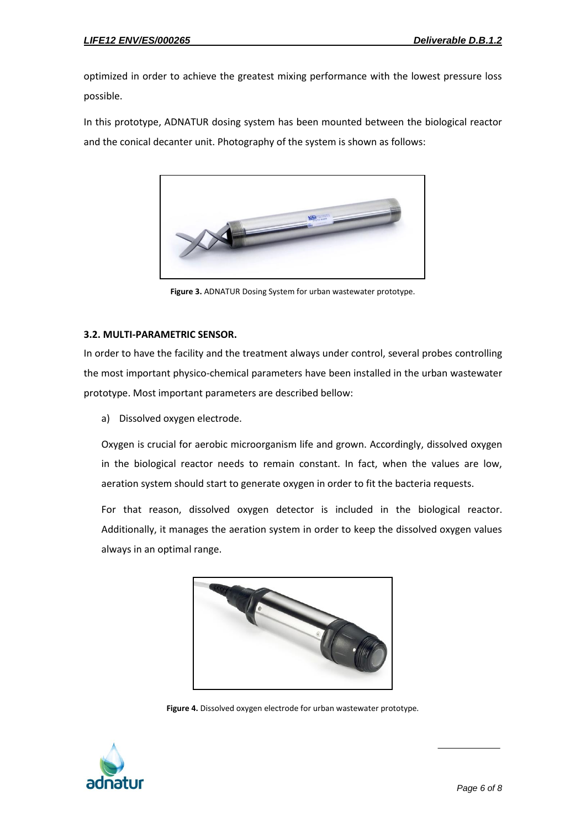optimized in order to achieve the greatest mixing performance with the lowest pressure loss possible.

In this prototype, ADNATUR dosing system has been mounted between the biological reactor and the conical decanter unit. Photography of the system is shown as follows:



**Figure 3.** ADNATUR Dosing System for urban wastewater prototype.

## <span id="page-6-0"></span>**3.2. MULTI-PARAMETRIC SENSOR.**

In order to have the facility and the treatment always under control, several probes controlling the most important physico-chemical parameters have been installed in the urban wastewater prototype. Most important parameters are described bellow:

a) Dissolved oxygen electrode.

Oxygen is crucial for aerobic microorganism life and grown. Accordingly, dissolved oxygen in the biological reactor needs to remain constant. In fact, when the values are low, aeration system should start to generate oxygen in order to fit the bacteria requests.

For that reason, dissolved oxygen detector is included in the biological reactor. Additionally, it manages the aeration system in order to keep the dissolved oxygen values always in an optimal range.



**Figure 4.** Dissolved oxygen electrode for urban wastewater prototype.

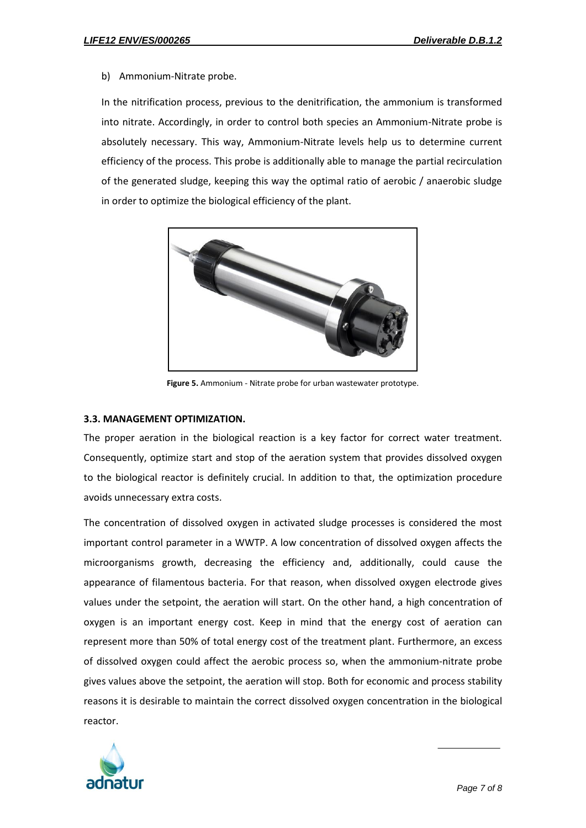## b) Ammonium-Nitrate probe.

In the nitrification process, previous to the denitrification, the ammonium is transformed into nitrate. Accordingly, in order to control both species an Ammonium-Nitrate probe is absolutely necessary. This way, Ammonium-Nitrate levels help us to determine current efficiency of the process. This probe is additionally able to manage the partial recirculation of the generated sludge, keeping this way the optimal ratio of aerobic / anaerobic sludge in order to optimize the biological efficiency of the plant.



**Figure 5.** Ammonium - Nitrate probe for urban wastewater prototype.

## <span id="page-7-0"></span>**3.3. MANAGEMENT OPTIMIZATION.**

The proper aeration in the biological reaction is a key factor for correct water treatment. Consequently, optimize start and stop of the aeration system that provides dissolved oxygen to the biological reactor is definitely crucial. In addition to that, the optimization procedure avoids unnecessary extra costs.

The concentration of dissolved oxygen in activated sludge processes is considered the most important control parameter in a WWTP. A low concentration of dissolved oxygen affects the microorganisms growth, decreasing the efficiency and, additionally, could cause the appearance of filamentous bacteria. For that reason, when dissolved oxygen electrode gives values under the setpoint, the aeration will start. On the other hand, a high concentration of oxygen is an important energy cost. Keep in mind that the energy cost of aeration can represent more than 50% of total energy cost of the treatment plant. Furthermore, an excess of dissolved oxygen could affect the aerobic process so, when the ammonium-nitrate probe gives values above the setpoint, the aeration will stop. Both for economic and process stability reasons it is desirable to maintain the correct dissolved oxygen concentration in the biological reactor.